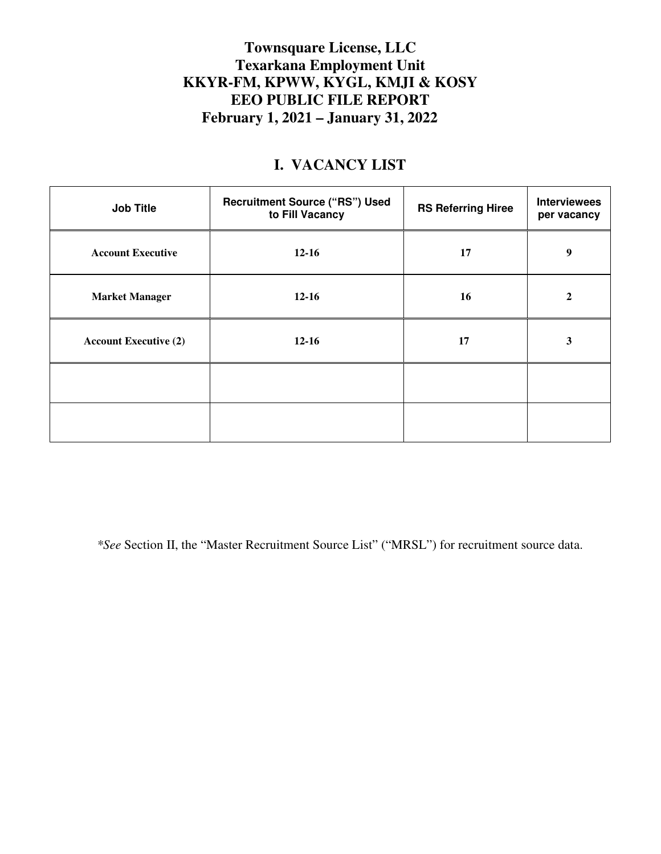## **Townsquare License, LLC Texarkana Employment Unit KKYR-FM, KPWW, KYGL, KMJI & KOSY EEO PUBLIC FILE REPORT February 1, 2021 – January 31, 2022**

## **I. VACANCY LIST**

| <b>Job Title</b>             | <b>Recruitment Source ("RS") Used</b><br>to Fill Vacancy | <b>RS Referring Hiree</b> | <b>Interviewees</b><br>per vacancy |
|------------------------------|----------------------------------------------------------|---------------------------|------------------------------------|
| <b>Account Executive</b>     | $12 - 16$                                                | 17                        | 9                                  |
| <b>Market Manager</b>        | $12 - 16$                                                | 16                        | $\overline{2}$                     |
| <b>Account Executive (2)</b> | $12 - 16$                                                | 17                        | 3                                  |
|                              |                                                          |                           |                                    |
|                              |                                                          |                           |                                    |

*\*See* Section II, the "Master Recruitment Source List" ("MRSL") for recruitment source data.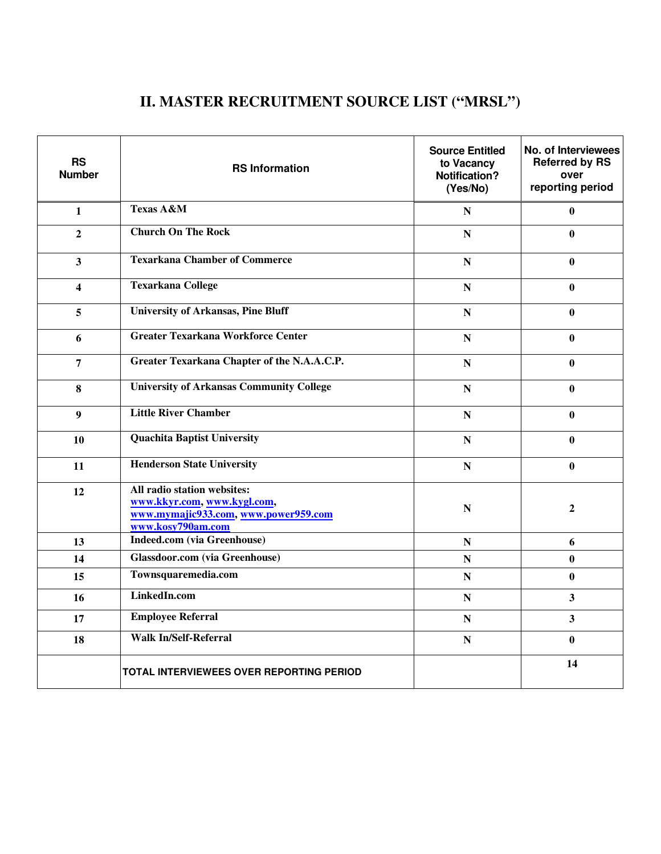## **II. MASTER RECRUITMENT SOURCE LIST ("MRSL")**

| <b>RS</b><br><b>Number</b> | <b>RS Information</b>                                                                                                   | <b>Source Entitled</b><br>to Vacancy<br>Notification?<br>(Yes/No) | No. of Interviewees<br><b>Referred by RS</b><br>over<br>reporting period |
|----------------------------|-------------------------------------------------------------------------------------------------------------------------|-------------------------------------------------------------------|--------------------------------------------------------------------------|
| $\mathbf{1}$               | <b>Texas A&amp;M</b>                                                                                                    | N                                                                 | 0                                                                        |
| $\overline{2}$             | <b>Church On The Rock</b>                                                                                               | ${\bf N}$                                                         | $\bf{0}$                                                                 |
| $\overline{\mathbf{3}}$    | <b>Texarkana Chamber of Commerce</b>                                                                                    | ${\bf N}$                                                         | $\mathbf{0}$                                                             |
| $\overline{\mathbf{4}}$    | <b>Texarkana College</b>                                                                                                |                                                                   | $\mathbf{0}$                                                             |
| 5                          | <b>University of Arkansas, Pine Bluff</b>                                                                               | N                                                                 | $\bf{0}$                                                                 |
| 6                          | <b>Greater Texarkana Workforce Center</b>                                                                               | ${\bf N}$                                                         | $\mathbf{0}$                                                             |
| 7                          | Greater Texarkana Chapter of the N.A.A.C.P.                                                                             | N                                                                 | 0                                                                        |
| 8                          | <b>University of Arkansas Community College</b>                                                                         | N                                                                 | $\mathbf{0}$                                                             |
| $\boldsymbol{9}$           | <b>Little River Chamber</b>                                                                                             | N                                                                 | $\bf{0}$                                                                 |
| 10                         | <b>Quachita Baptist University</b>                                                                                      | N                                                                 | $\bf{0}$                                                                 |
| 11                         | <b>Henderson State University</b>                                                                                       | $\mathbf N$                                                       | $\bf{0}$                                                                 |
| 12                         | All radio station websites:<br>www.kkyr.com, www.kygl.com,<br>www.mymajic933.com, www.power959.com<br>www.kosy790am.com | N                                                                 | $\mathbf{2}$                                                             |
| 13                         | <b>Indeed.com</b> (via Greenhouse)                                                                                      | N                                                                 | 6                                                                        |
| 14                         | <b>Glassdoor.com</b> (via Greenhouse)                                                                                   | N                                                                 | $\bf{0}$                                                                 |
| 15                         | Townsquaremedia.com                                                                                                     | N                                                                 | $\bf{0}$                                                                 |
| 16                         | LinkedIn.com                                                                                                            | ${\bf N}$                                                         | 3                                                                        |
| 17                         | <b>Employee Referral</b>                                                                                                | N                                                                 | $\overline{\mathbf{3}}$                                                  |
| 18                         | <b>Walk In/Self-Referral</b>                                                                                            | ${\bf N}$                                                         | $\mathbf{0}$                                                             |
|                            | TOTAL INTERVIEWEES OVER REPORTING PERIOD                                                                                |                                                                   | 14                                                                       |